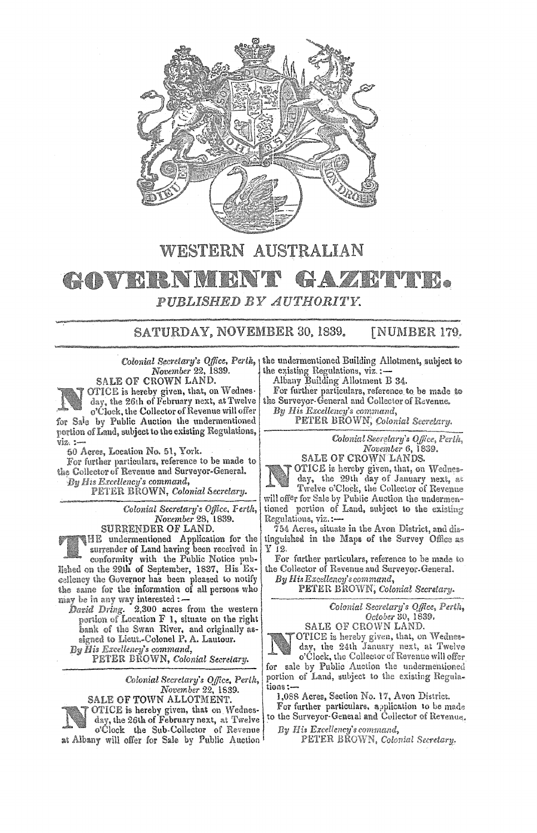

## **WESTERN AUSTRALIAN**

## • TR. **ALLEY MARKET** H.NM *PUBLISHED BY AUTHORITY.*

## **SATURDAY, NOVEMBER** 30. 1839. **[NUMBER 179.**

*November* **22, 1839.**  SALE OF CROWN **LAND.** 



OTICE is hereby given, that, on Wednes**day, the** 26th of February next, at Twelve **o'(.;}ock,** the Collector of Revenue will offer **for Sale by Public** Auction the undermentioned **portion of Land,** 1n1bject to the existing Ke:rzul:atrnins. **viz,.** :-

**50 Acree,** Location No. **61,** York.

For further particulars, reference to be made to the Collector of Revenue and Surveyor-General. *By* **Hu** *Excellency's command,* 

**PETER BROWN,** *Colonial Secretary.* 

*Colonial Secretary's Office, November* 28, 1839.

**SURRENDER OF LAND. HE** undermentioned Application for the **,urrender** of Land having been received in

**conformity** with the Public Notice lished on the 29th of September, 1837, His Excellency the Governor has been pleased to notify the same for the information of all persons who **niay be in any way** interested:-

David Dring. 2,300 acres from the western **portion of Location** F l, situate on the right **bank of the Swan River, and originally as-11igned to** Lieut.~Colonel **P.** A. Laulour. *By Hil Ercellmr:y's command,*  **PETER BROWN,** *Colonial Secretary.* 

*Colonial Secretary'& Office,* 

*November* 22, 1889. **SALE** OF TOWN ALLOTMENT.

OTICE is hereby given, that on Wednes**day,** the 26th of February next, **at** Twelve **o'Clock** the Sub-Collector **of** Revenue .iit **Albany** will **offer** for Sale **by** Public

Colonial Secretary's Office, Perth<sub>, I</sub> the undermentioned Building Allotment, subject to the existing Regulations, viz.:-

Albany Building Allotment **B** 34.

For **further parliculars,** reference to be made .to the Surveyor-General and Collector of Revenue. *By Hi1 Excellency's command,* 

**PETER BROWN,** *Colonial Secretary.* 

*Colonial Secrf!lary's Ojjice, Perth, November* 6, **1839.** 

SALE OF **CROWN** LANDS. OTIC.E is **hereby given, that,** on **We<lne•-**

**day,** the **29th day of January** next, **at Twelve o'Clock,** the **Collector of Revenue**  will offer for Sale **by Public Auction the undermen**tioned portion of Land, subject to the existing Regulations, viz.:-

 $754$  Acres, situate in the Avon District, and distinguished in the Maps of the Survey Office as<br>Y 12.

For further particulars, reference to be made to the Collector **of Revenue** and **Surveyor.General.** 

*B31 Hi& Excellency's command,* 

 $PETER \ BROWN$ , *Colonial Secretary.* 

*Colonial Secretary'\$ Qtfice, Perth, October* ao, 1839, SALE OF CROWN LAND.

OTICE is hereby given, that, on Wednesday, the 24th January next, at Twelve **o'Clock:, the Collector of Revenue** will **offer**  for sale by Public Auction the undermentioned portion of Land, subject to the existing Regula**tions:-**

1,088 Acres, Section No. 17, Avon District.

For further particulars, application to be made to the Surveyor-General and Collector of Revenue,

*By Ilia E:rcelle11cy'8command,* 

PETER BROWN, Colonial Secretary.